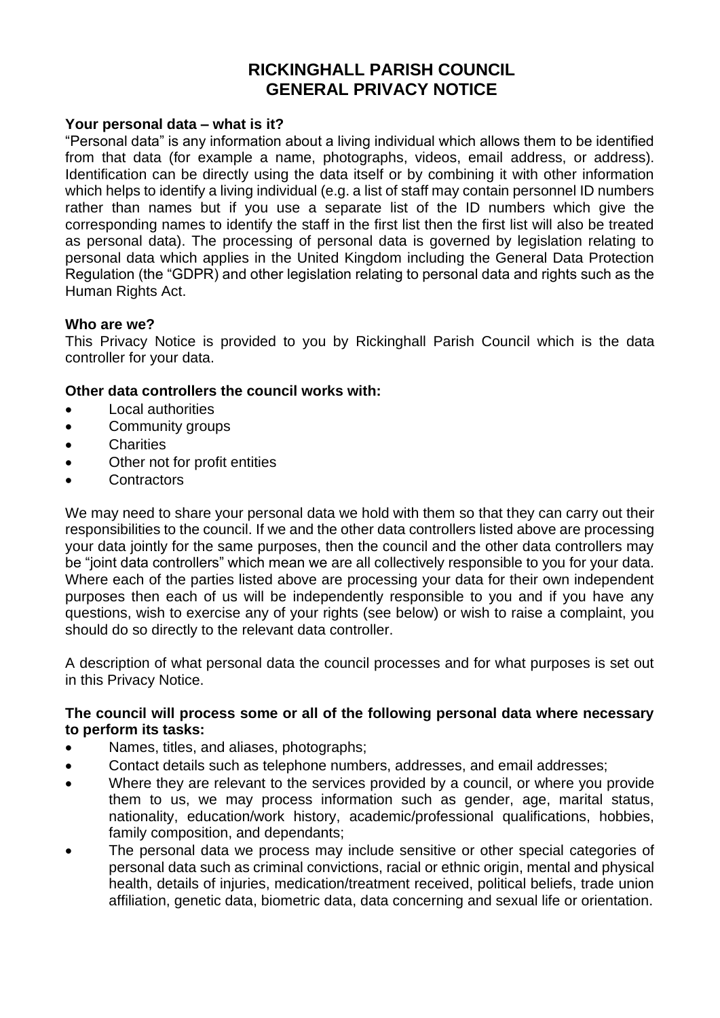# **RICKINGHALL PARISH COUNCIL GENERAL PRIVACY NOTICE**

#### **Your personal data – what is it?**

"Personal data" is any information about a living individual which allows them to be identified from that data (for example a name, photographs, videos, email address, or address). Identification can be directly using the data itself or by combining it with other information which helps to identify a living individual (e.g. a list of staff may contain personnel ID numbers rather than names but if you use a separate list of the ID numbers which give the corresponding names to identify the staff in the first list then the first list will also be treated as personal data). The processing of personal data is governed by legislation relating to personal data which applies in the United Kingdom including the General Data Protection Regulation (the "GDPR) and other legislation relating to personal data and rights such as the Human Rights Act.

#### **Who are we?**

This Privacy Notice is provided to you by Rickinghall Parish Council which is the data controller for your data.

#### **Other data controllers the council works with:**

- Local authorities
- Community groups
- Charities
- Other not for profit entities
- Contractors

We may need to share your personal data we hold with them so that they can carry out their responsibilities to the council. If we and the other data controllers listed above are processing your data jointly for the same purposes, then the council and the other data controllers may be "joint data controllers" which mean we are all collectively responsible to you for your data. Where each of the parties listed above are processing your data for their own independent purposes then each of us will be independently responsible to you and if you have any questions, wish to exercise any of your rights (see below) or wish to raise a complaint, you should do so directly to the relevant data controller.

A description of what personal data the council processes and for what purposes is set out in this Privacy Notice.

#### **The council will process some or all of the following personal data where necessary to perform its tasks:**

- Names, titles, and aliases, photographs;
- Contact details such as telephone numbers, addresses, and email addresses;
- Where they are relevant to the services provided by a council, or where you provide them to us, we may process information such as gender, age, marital status, nationality, education/work history, academic/professional qualifications, hobbies, family composition, and dependants;
- The personal data we process may include sensitive or other special categories of personal data such as criminal convictions, racial or ethnic origin, mental and physical health, details of injuries, medication/treatment received, political beliefs, trade union affiliation, genetic data, biometric data, data concerning and sexual life or orientation.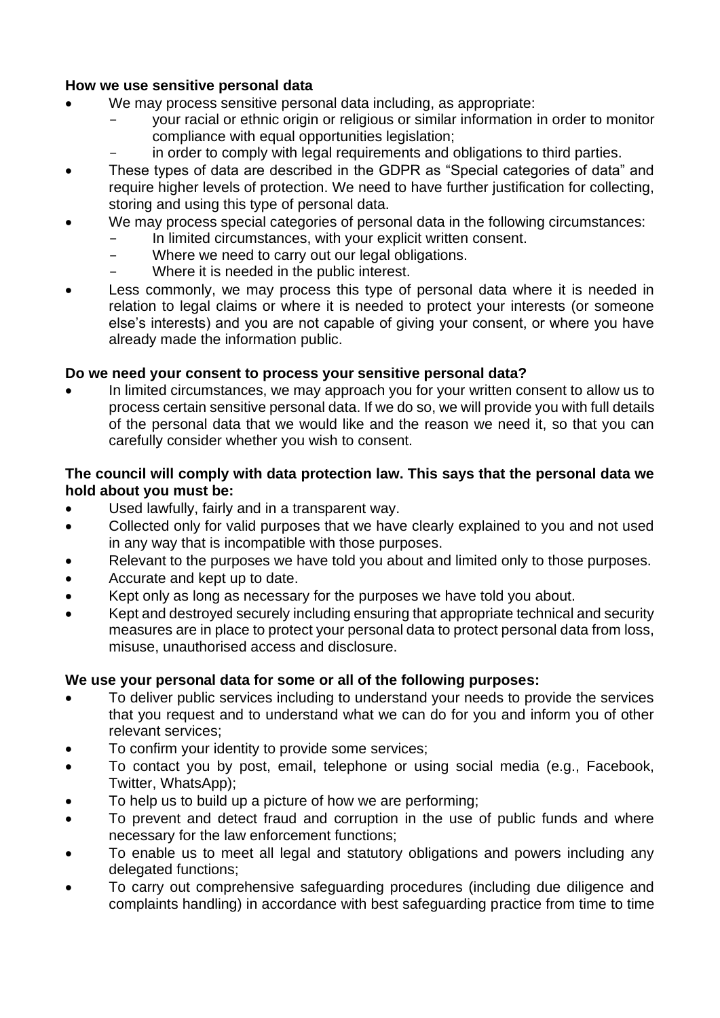## **How we use sensitive personal data**

- We may process sensitive personal data including, as appropriate:
	- your racial or ethnic origin or religious or similar information in order to monitor compliance with equal opportunities legislation;
	- in order to comply with legal requirements and obligations to third parties.
- These types of data are described in the GDPR as "Special categories of data" and require higher levels of protection. We need to have further justification for collecting, storing and using this type of personal data.
- We may process special categories of personal data in the following circumstances:
	- In limited circumstances, with your explicit written consent.
	- Where we need to carry out our legal obligations.
	- Where it is needed in the public interest.
- Less commonly, we may process this type of personal data where it is needed in relation to legal claims or where it is needed to protect your interests (or someone else's interests) and you are not capable of giving your consent, or where you have already made the information public.

## **Do we need your consent to process your sensitive personal data?**

• In limited circumstances, we may approach you for your written consent to allow us to process certain sensitive personal data. If we do so, we will provide you with full details of the personal data that we would like and the reason we need it, so that you can carefully consider whether you wish to consent.

## **The council will comply with data protection law. This says that the personal data we hold about you must be:**

- Used lawfully, fairly and in a transparent way.
- Collected only for valid purposes that we have clearly explained to you and not used in any way that is incompatible with those purposes.
- Relevant to the purposes we have told you about and limited only to those purposes.
- Accurate and kept up to date.
- Kept only as long as necessary for the purposes we have told you about.
- Kept and destroyed securely including ensuring that appropriate technical and security measures are in place to protect your personal data to protect personal data from loss, misuse, unauthorised access and disclosure.

#### **We use your personal data for some or all of the following purposes:**

- To deliver public services including to understand your needs to provide the services that you request and to understand what we can do for you and inform you of other relevant services;
- To confirm your identity to provide some services;
- To contact you by post, email, telephone or using social media (e.g., Facebook, Twitter, WhatsApp);
- To help us to build up a picture of how we are performing;
- To prevent and detect fraud and corruption in the use of public funds and where necessary for the law enforcement functions;
- To enable us to meet all legal and statutory obligations and powers including any delegated functions;
- To carry out comprehensive safeguarding procedures (including due diligence and complaints handling) in accordance with best safeguarding practice from time to time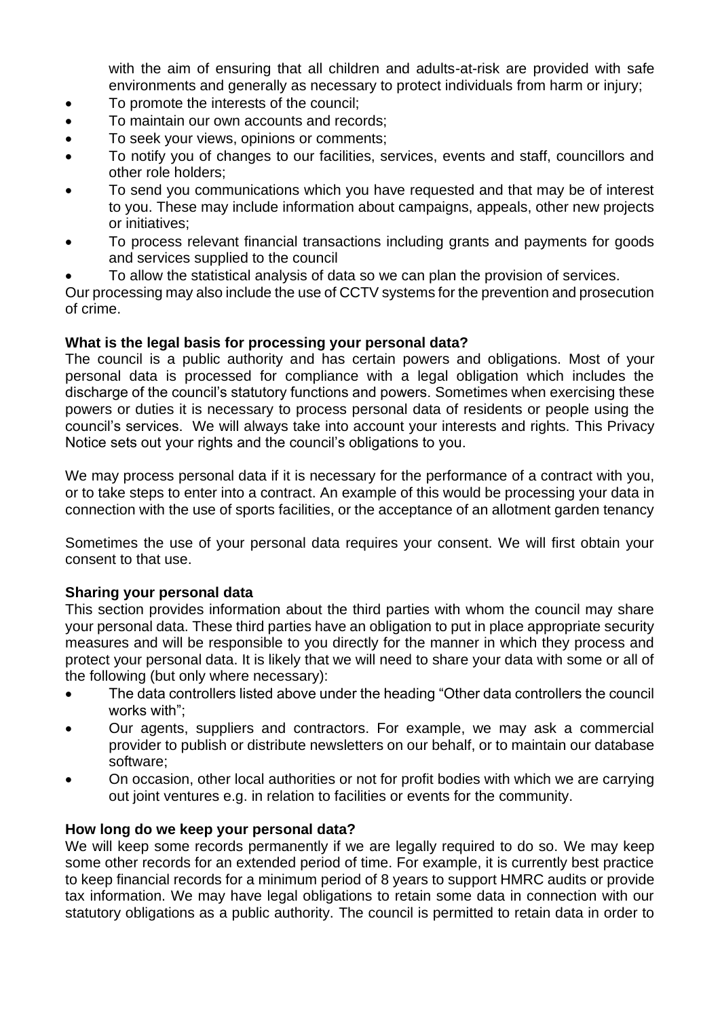with the aim of ensuring that all children and adults-at-risk are provided with safe environments and generally as necessary to protect individuals from harm or injury;

- To promote the interests of the council;
- To maintain our own accounts and records;
- To seek your views, opinions or comments;
- To notify you of changes to our facilities, services, events and staff, councillors and other role holders;
- To send you communications which you have requested and that may be of interest to you. These may include information about campaigns, appeals, other new projects or initiatives;
- To process relevant financial transactions including grants and payments for goods and services supplied to the council
- To allow the statistical analysis of data so we can plan the provision of services.

Our processing may also include the use of CCTV systems for the prevention and prosecution of crime.

#### **What is the legal basis for processing your personal data?**

The council is a public authority and has certain powers and obligations. Most of your personal data is processed for compliance with a legal obligation which includes the discharge of the council's statutory functions and powers. Sometimes when exercising these powers or duties it is necessary to process personal data of residents or people using the council's services. We will always take into account your interests and rights. This Privacy Notice sets out your rights and the council's obligations to you.

We may process personal data if it is necessary for the performance of a contract with you, or to take steps to enter into a contract. An example of this would be processing your data in connection with the use of sports facilities, or the acceptance of an allotment garden tenancy

Sometimes the use of your personal data requires your consent. We will first obtain your consent to that use.

#### **Sharing your personal data**

This section provides information about the third parties with whom the council may share your personal data. These third parties have an obligation to put in place appropriate security measures and will be responsible to you directly for the manner in which they process and protect your personal data. It is likely that we will need to share your data with some or all of the following (but only where necessary):

- The data controllers listed above under the heading "Other data controllers the council works with";
- Our agents, suppliers and contractors. For example, we may ask a commercial provider to publish or distribute newsletters on our behalf, or to maintain our database software;
- On occasion, other local authorities or not for profit bodies with which we are carrying out joint ventures e.g. in relation to facilities or events for the community.

#### **How long do we keep your personal data?**

We will keep some records permanently if we are legally required to do so. We may keep some other records for an extended period of time. For example, it is currently best practice to keep financial records for a minimum period of 8 years to support HMRC audits or provide tax information. We may have legal obligations to retain some data in connection with our statutory obligations as a public authority. The council is permitted to retain data in order to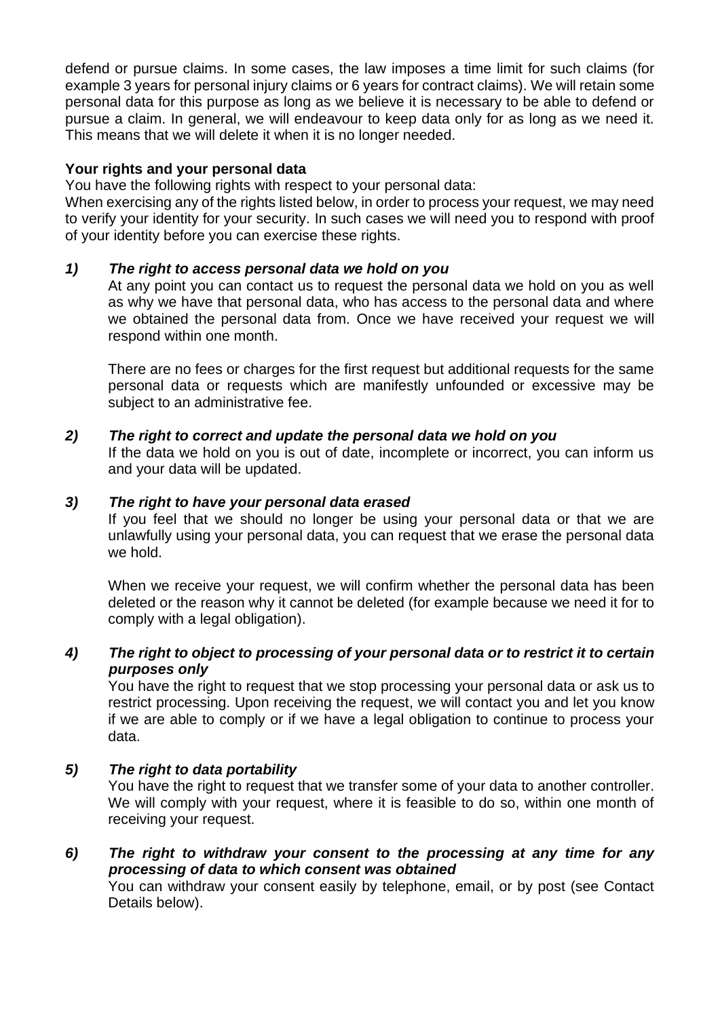defend or pursue claims. In some cases, the law imposes a time limit for such claims (for example 3 years for personal injury claims or 6 years for contract claims). We will retain some personal data for this purpose as long as we believe it is necessary to be able to defend or pursue a claim. In general, we will endeavour to keep data only for as long as we need it. This means that we will delete it when it is no longer needed.

#### **Your rights and your personal data**

You have the following rights with respect to your personal data:

When exercising any of the rights listed below, in order to process your request, we may need to verify your identity for your security. In such cases we will need you to respond with proof of your identity before you can exercise these rights.

## *1) The right to access personal data we hold on you*

At any point you can contact us to request the personal data we hold on you as well as why we have that personal data, who has access to the personal data and where we obtained the personal data from. Once we have received your request we will respond within one month.

There are no fees or charges for the first request but additional requests for the same personal data or requests which are manifestly unfounded or excessive may be subject to an administrative fee.

#### *2) The right to correct and update the personal data we hold on you*

If the data we hold on you is out of date, incomplete or incorrect, you can inform us and your data will be updated.

#### *3) The right to have your personal data erased*

If you feel that we should no longer be using your personal data or that we are unlawfully using your personal data, you can request that we erase the personal data we hold.

When we receive your request, we will confirm whether the personal data has been deleted or the reason why it cannot be deleted (for example because we need it for to comply with a legal obligation).

# *4) The right to object to processing of your personal data or to restrict it to certain purposes only*

You have the right to request that we stop processing your personal data or ask us to restrict processing. Upon receiving the request, we will contact you and let you know if we are able to comply or if we have a legal obligation to continue to process your data.

# *5) The right to data portability*

You have the right to request that we transfer some of your data to another controller. We will comply with your request, where it is feasible to do so, within one month of receiving your request.

*6) The right to withdraw your consent to the processing at any time for any processing of data to which consent was obtained* You can withdraw your consent easily by telephone, email, or by post (see Contact

Details below).